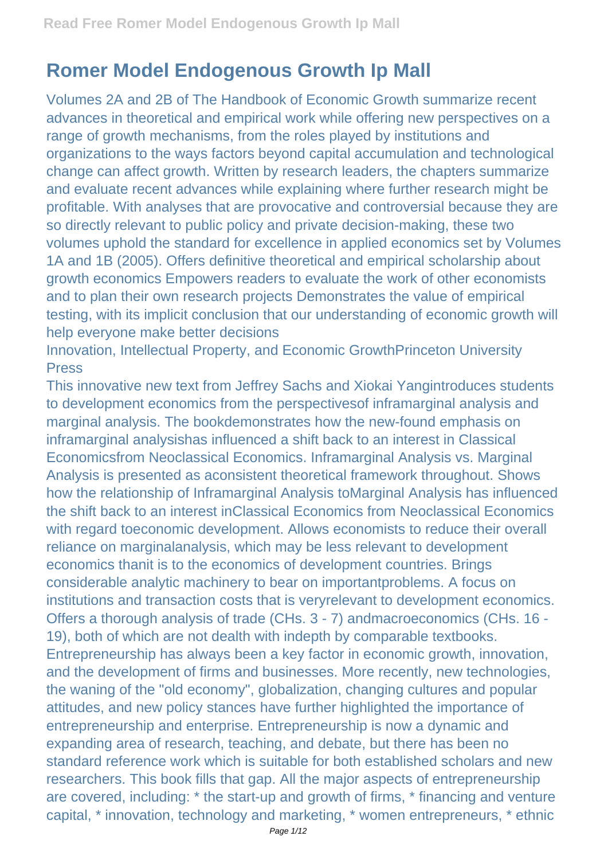## **Romer Model Endogenous Growth Ip Mall**

Volumes 2A and 2B of The Handbook of Economic Growth summarize recent advances in theoretical and empirical work while offering new perspectives on a range of growth mechanisms, from the roles played by institutions and organizations to the ways factors beyond capital accumulation and technological change can affect growth. Written by research leaders, the chapters summarize and evaluate recent advances while explaining where further research might be profitable. With analyses that are provocative and controversial because they are so directly relevant to public policy and private decision-making, these two volumes uphold the standard for excellence in applied economics set by Volumes 1A and 1B (2005). Offers definitive theoretical and empirical scholarship about growth economics Empowers readers to evaluate the work of other economists and to plan their own research projects Demonstrates the value of empirical testing, with its implicit conclusion that our understanding of economic growth will help everyone make better decisions

Innovation, Intellectual Property, and Economic GrowthPrinceton University Press

This innovative new text from Jeffrey Sachs and Xiokai Yangintroduces students to development economics from the perspectivesof inframarginal analysis and marginal analysis. The bookdemonstrates how the new-found emphasis on inframarginal analysishas influenced a shift back to an interest in Classical Economicsfrom Neoclassical Economics. Inframarginal Analysis vs. Marginal Analysis is presented as aconsistent theoretical framework throughout. Shows how the relationship of Inframarginal Analysis toMarginal Analysis has influenced the shift back to an interest inClassical Economics from Neoclassical Economics with regard toeconomic development. Allows economists to reduce their overall reliance on marginalanalysis, which may be less relevant to development economics thanit is to the economics of development countries. Brings considerable analytic machinery to bear on importantproblems. A focus on institutions and transaction costs that is veryrelevant to development economics. Offers a thorough analysis of trade (CHs. 3 - 7) andmacroeconomics (CHs. 16 - 19), both of which are not dealth with indepth by comparable textbooks. Entrepreneurship has always been a key factor in economic growth, innovation, and the development of firms and businesses. More recently, new technologies, the waning of the "old economy", globalization, changing cultures and popular attitudes, and new policy stances have further highlighted the importance of entrepreneurship and enterprise. Entrepreneurship is now a dynamic and expanding area of research, teaching, and debate, but there has been no standard reference work which is suitable for both established scholars and new researchers. This book fills that gap. All the major aspects of entrepreneurship are covered, including: \* the start-up and growth of firms, \* financing and venture capital, \* innovation, technology and marketing, \* women entrepreneurs, \* ethnic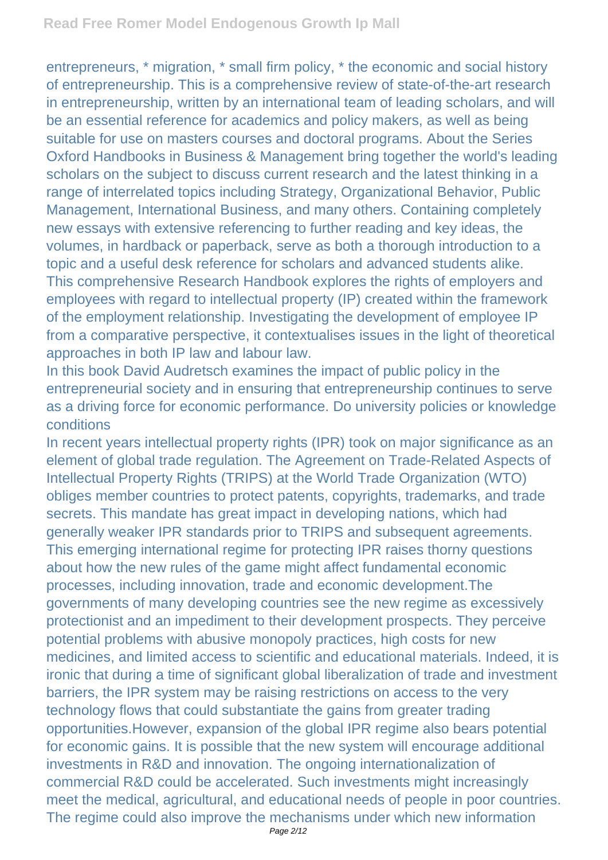entrepreneurs, \* migration, \* small firm policy, \* the economic and social history of entrepreneurship. This is a comprehensive review of state-of-the-art research in entrepreneurship, written by an international team of leading scholars, and will be an essential reference for academics and policy makers, as well as being suitable for use on masters courses and doctoral programs. About the Series Oxford Handbooks in Business & Management bring together the world's leading scholars on the subject to discuss current research and the latest thinking in a range of interrelated topics including Strategy, Organizational Behavior, Public Management, International Business, and many others. Containing completely new essays with extensive referencing to further reading and key ideas, the volumes, in hardback or paperback, serve as both a thorough introduction to a topic and a useful desk reference for scholars and advanced students alike. This comprehensive Research Handbook explores the rights of employers and employees with regard to intellectual property (IP) created within the framework of the employment relationship. Investigating the development of employee IP from a comparative perspective, it contextualises issues in the light of theoretical approaches in both IP law and labour law.

In this book David Audretsch examines the impact of public policy in the entrepreneurial society and in ensuring that entrepreneurship continues to serve as a driving force for economic performance. Do university policies or knowledge conditions

In recent years intellectual property rights (IPR) took on major significance as an element of global trade regulation. The Agreement on Trade-Related Aspects of Intellectual Property Rights (TRIPS) at the World Trade Organization (WTO) obliges member countries to protect patents, copyrights, trademarks, and trade secrets. This mandate has great impact in developing nations, which had generally weaker IPR standards prior to TRIPS and subsequent agreements. This emerging international regime for protecting IPR raises thorny questions about how the new rules of the game might affect fundamental economic processes, including innovation, trade and economic development.The governments of many developing countries see the new regime as excessively protectionist and an impediment to their development prospects. They perceive potential problems with abusive monopoly practices, high costs for new medicines, and limited access to scientific and educational materials. Indeed, it is ironic that during a time of significant global liberalization of trade and investment barriers, the IPR system may be raising restrictions on access to the very technology flows that could substantiate the gains from greater trading opportunities.However, expansion of the global IPR regime also bears potential for economic gains. It is possible that the new system will encourage additional investments in R&D and innovation. The ongoing internationalization of commercial R&D could be accelerated. Such investments might increasingly meet the medical, agricultural, and educational needs of people in poor countries. The regime could also improve the mechanisms under which new information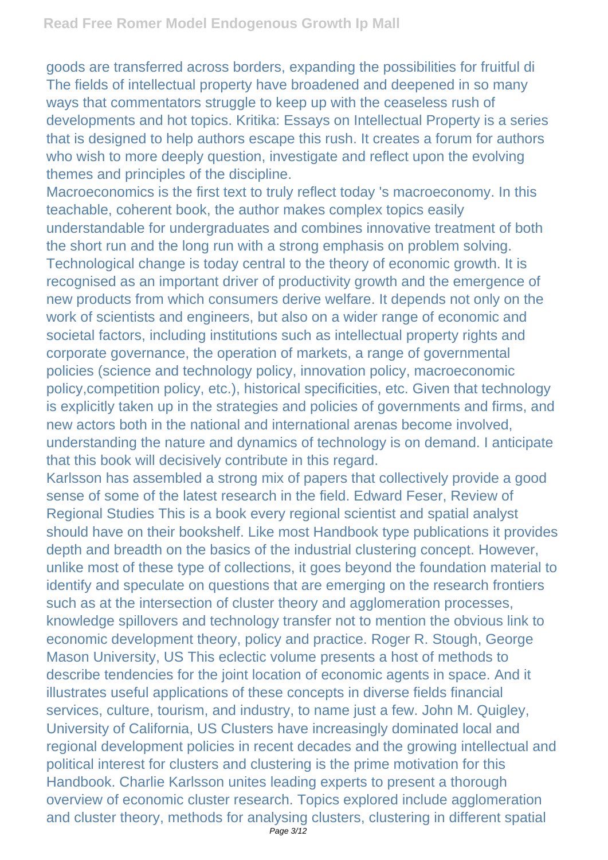goods are transferred across borders, expanding the possibilities for fruitful di The fields of intellectual property have broadened and deepened in so many ways that commentators struggle to keep up with the ceaseless rush of developments and hot topics. Kritika: Essays on Intellectual Property is a series that is designed to help authors escape this rush. It creates a forum for authors who wish to more deeply question, investigate and reflect upon the evolving themes and principles of the discipline.

Macroeconomics is the first text to truly reflect today 's macroeconomy. In this teachable, coherent book, the author makes complex topics easily understandable for undergraduates and combines innovative treatment of both the short run and the long run with a strong emphasis on problem solving. Technological change is today central to the theory of economic growth. It is recognised as an important driver of productivity growth and the emergence of new products from which consumers derive welfare. It depends not only on the work of scientists and engineers, but also on a wider range of economic and societal factors, including institutions such as intellectual property rights and corporate governance, the operation of markets, a range of governmental policies (science and technology policy, innovation policy, macroeconomic policy,competition policy, etc.), historical specificities, etc. Given that technology is explicitly taken up in the strategies and policies of governments and firms, and new actors both in the national and international arenas become involved, understanding the nature and dynamics of technology is on demand. I anticipate that this book will decisively contribute in this regard.

Karlsson has assembled a strong mix of papers that collectively provide a good sense of some of the latest research in the field. Edward Feser, Review of Regional Studies This is a book every regional scientist and spatial analyst should have on their bookshelf. Like most Handbook type publications it provides depth and breadth on the basics of the industrial clustering concept. However, unlike most of these type of collections, it goes beyond the foundation material to identify and speculate on questions that are emerging on the research frontiers such as at the intersection of cluster theory and agglomeration processes, knowledge spillovers and technology transfer not to mention the obvious link to economic development theory, policy and practice. Roger R. Stough, George Mason University, US This eclectic volume presents a host of methods to describe tendencies for the joint location of economic agents in space. And it illustrates useful applications of these concepts in diverse fields financial services, culture, tourism, and industry, to name just a few. John M. Quigley, University of California, US Clusters have increasingly dominated local and regional development policies in recent decades and the growing intellectual and political interest for clusters and clustering is the prime motivation for this Handbook. Charlie Karlsson unites leading experts to present a thorough overview of economic cluster research. Topics explored include agglomeration and cluster theory, methods for analysing clusters, clustering in different spatial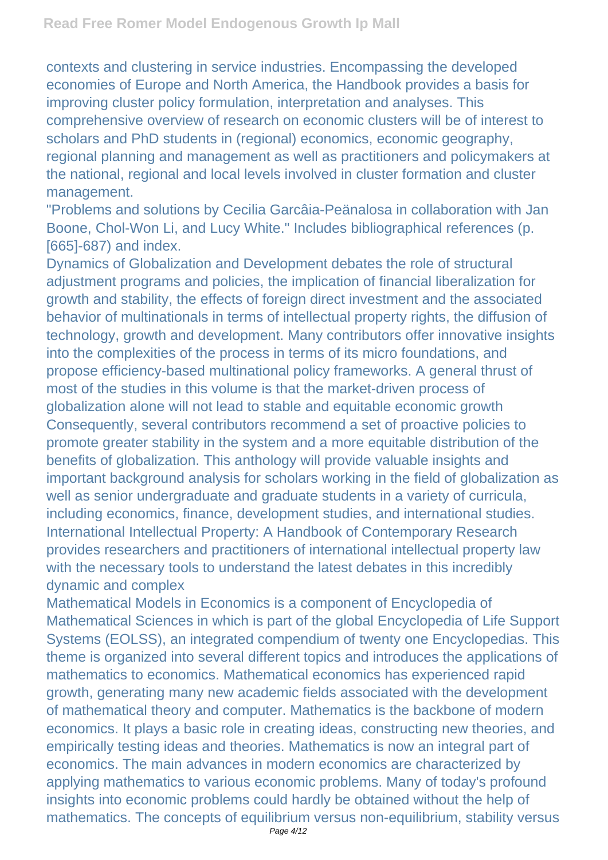contexts and clustering in service industries. Encompassing the developed economies of Europe and North America, the Handbook provides a basis for improving cluster policy formulation, interpretation and analyses. This comprehensive overview of research on economic clusters will be of interest to scholars and PhD students in (regional) economics, economic geography, regional planning and management as well as practitioners and policymakers at the national, regional and local levels involved in cluster formation and cluster management.

"Problems and solutions by Cecilia Garcâia-Peänalosa in collaboration with Jan Boone, Chol-Won Li, and Lucy White." Includes bibliographical references (p. [665]-687) and index.

Dynamics of Globalization and Development debates the role of structural adjustment programs and policies, the implication of financial liberalization for growth and stability, the effects of foreign direct investment and the associated behavior of multinationals in terms of intellectual property rights, the diffusion of technology, growth and development. Many contributors offer innovative insights into the complexities of the process in terms of its micro foundations, and propose efficiency-based multinational policy frameworks. A general thrust of most of the studies in this volume is that the market-driven process of globalization alone will not lead to stable and equitable economic growth Consequently, several contributors recommend a set of proactive policies to promote greater stability in the system and a more equitable distribution of the benefits of globalization. This anthology will provide valuable insights and important background analysis for scholars working in the field of globalization as well as senior undergraduate and graduate students in a variety of curricula, including economics, finance, development studies, and international studies. International Intellectual Property: A Handbook of Contemporary Research provides researchers and practitioners of international intellectual property law with the necessary tools to understand the latest debates in this incredibly dynamic and complex

Mathematical Models in Economics is a component of Encyclopedia of Mathematical Sciences in which is part of the global Encyclopedia of Life Support Systems (EOLSS), an integrated compendium of twenty one Encyclopedias. This theme is organized into several different topics and introduces the applications of mathematics to economics. Mathematical economics has experienced rapid growth, generating many new academic fields associated with the development of mathematical theory and computer. Mathematics is the backbone of modern economics. It plays a basic role in creating ideas, constructing new theories, and empirically testing ideas and theories. Mathematics is now an integral part of economics. The main advances in modern economics are characterized by applying mathematics to various economic problems. Many of today's profound insights into economic problems could hardly be obtained without the help of mathematics. The concepts of equilibrium versus non-equilibrium, stability versus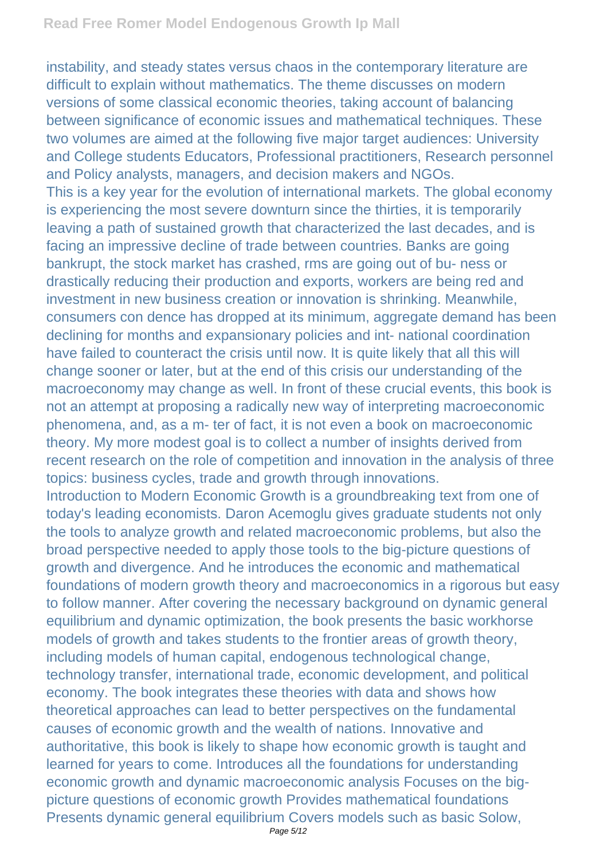instability, and steady states versus chaos in the contemporary literature are difficult to explain without mathematics. The theme discusses on modern versions of some classical economic theories, taking account of balancing between significance of economic issues and mathematical techniques. These two volumes are aimed at the following five major target audiences: University and College students Educators, Professional practitioners, Research personnel and Policy analysts, managers, and decision makers and NGOs. This is a key year for the evolution of international markets. The global economy is experiencing the most severe downturn since the thirties, it is temporarily leaving a path of sustained growth that characterized the last decades, and is facing an impressive decline of trade between countries. Banks are going bankrupt, the stock market has crashed, rms are going out of bu- ness or drastically reducing their production and exports, workers are being red and investment in new business creation or innovation is shrinking. Meanwhile, consumers con dence has dropped at its minimum, aggregate demand has been declining for months and expansionary policies and int- national coordination have failed to counteract the crisis until now. It is quite likely that all this will change sooner or later, but at the end of this crisis our understanding of the macroeconomy may change as well. In front of these crucial events, this book is not an attempt at proposing a radically new way of interpreting macroeconomic phenomena, and, as a m- ter of fact, it is not even a book on macroeconomic theory. My more modest goal is to collect a number of insights derived from recent research on the role of competition and innovation in the analysis of three topics: business cycles, trade and growth through innovations. Introduction to Modern Economic Growth is a groundbreaking text from one of

today's leading economists. Daron Acemoglu gives graduate students not only the tools to analyze growth and related macroeconomic problems, but also the broad perspective needed to apply those tools to the big-picture questions of growth and divergence. And he introduces the economic and mathematical foundations of modern growth theory and macroeconomics in a rigorous but easy to follow manner. After covering the necessary background on dynamic general equilibrium and dynamic optimization, the book presents the basic workhorse models of growth and takes students to the frontier areas of growth theory, including models of human capital, endogenous technological change, technology transfer, international trade, economic development, and political economy. The book integrates these theories with data and shows how theoretical approaches can lead to better perspectives on the fundamental causes of economic growth and the wealth of nations. Innovative and authoritative, this book is likely to shape how economic growth is taught and learned for years to come. Introduces all the foundations for understanding economic growth and dynamic macroeconomic analysis Focuses on the bigpicture questions of economic growth Provides mathematical foundations Presents dynamic general equilibrium Covers models such as basic Solow,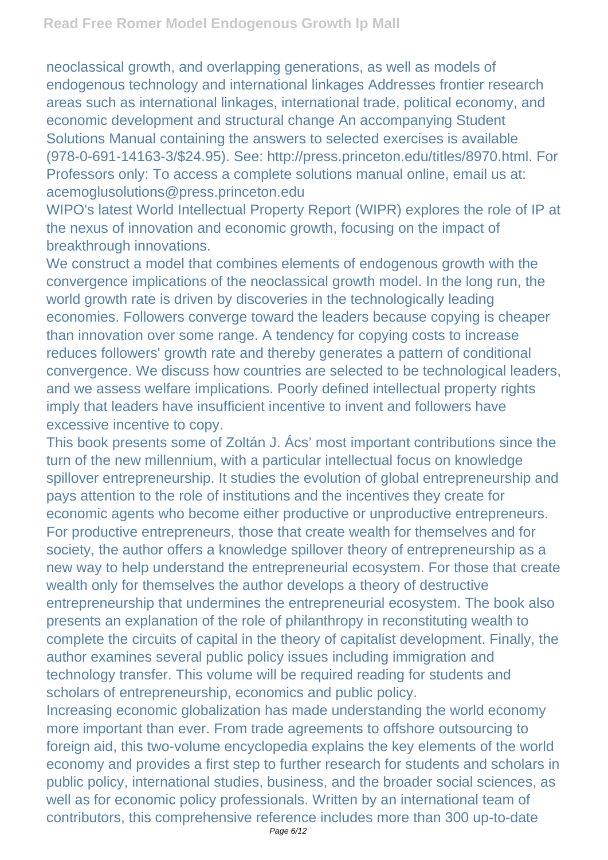neoclassical growth, and overlapping generations, as well as models of endogenous technology and international linkages Addresses frontier research areas such as international linkages, international trade, political economy, and economic development and structural change An accompanying Student Solutions Manual containing the answers to selected exercises is available (978-0-691-14163-3/\$24.95). See: http://press.princeton.edu/titles/8970.html. For Professors only: To access a complete solutions manual online, email us at: acemoglusolutions@press.princeton.edu

WIPO's latest World Intellectual Property Report (WIPR) explores the role of IP at the nexus of innovation and economic growth, focusing on the impact of breakthrough innovations.

We construct a model that combines elements of endogenous growth with the convergence implications of the neoclassical growth model. In the long run, the world growth rate is driven by discoveries in the technologically leading economies. Followers converge toward the leaders because copying is cheaper than innovation over some range. A tendency for copying costs to increase reduces followers' growth rate and thereby generates a pattern of conditional convergence. We discuss how countries are selected to be technological leaders, and we assess welfare implications. Poorly defined intellectual property rights imply that leaders have insufficient incentive to invent and followers have excessive incentive to copy.

This book presents some of Zoltán J. Ács' most important contributions since the turn of the new millennium, with a particular intellectual focus on knowledge spillover entrepreneurship. It studies the evolution of global entrepreneurship and pays attention to the role of institutions and the incentives they create for economic agents who become either productive or unproductive entrepreneurs. For productive entrepreneurs, those that create wealth for themselves and for society, the author offers a knowledge spillover theory of entrepreneurship as a new way to help understand the entrepreneurial ecosystem. For those that create wealth only for themselves the author develops a theory of destructive entrepreneurship that undermines the entrepreneurial ecosystem. The book also presents an explanation of the role of philanthropy in reconstituting wealth to complete the circuits of capital in the theory of capitalist development. Finally, the author examines several public policy issues including immigration and technology transfer. This volume will be required reading for students and scholars of entrepreneurship, economics and public policy.

Increasing economic globalization has made understanding the world economy more important than ever. From trade agreements to offshore outsourcing to foreign aid, this two-volume encyclopedia explains the key elements of the world economy and provides a first step to further research for students and scholars in public policy, international studies, business, and the broader social sciences, as well as for economic policy professionals. Written by an international team of contributors, this comprehensive reference includes more than 300 up-to-date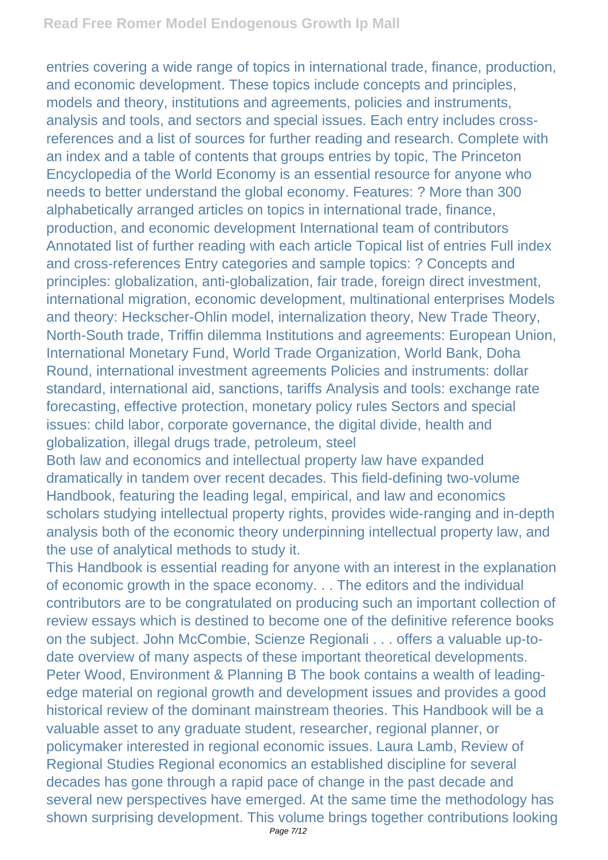entries covering a wide range of topics in international trade, finance, production, and economic development. These topics include concepts and principles, models and theory, institutions and agreements, policies and instruments, analysis and tools, and sectors and special issues. Each entry includes crossreferences and a list of sources for further reading and research. Complete with an index and a table of contents that groups entries by topic, The Princeton Encyclopedia of the World Economy is an essential resource for anyone who needs to better understand the global economy. Features: ? More than 300 alphabetically arranged articles on topics in international trade, finance, production, and economic development International team of contributors Annotated list of further reading with each article Topical list of entries Full index and cross-references Entry categories and sample topics: ? Concepts and principles: globalization, anti-globalization, fair trade, foreign direct investment, international migration, economic development, multinational enterprises Models and theory: Heckscher-Ohlin model, internalization theory, New Trade Theory, North-South trade, Triffin dilemma Institutions and agreements: European Union, International Monetary Fund, World Trade Organization, World Bank, Doha Round, international investment agreements Policies and instruments: dollar standard, international aid, sanctions, tariffs Analysis and tools: exchange rate forecasting, effective protection, monetary policy rules Sectors and special issues: child labor, corporate governance, the digital divide, health and globalization, illegal drugs trade, petroleum, steel

Both law and economics and intellectual property law have expanded dramatically in tandem over recent decades. This field-defining two-volume Handbook, featuring the leading legal, empirical, and law and economics scholars studying intellectual property rights, provides wide-ranging and in-depth analysis both of the economic theory underpinning intellectual property law, and the use of analytical methods to study it.

This Handbook is essential reading for anyone with an interest in the explanation of economic growth in the space economy. . . The editors and the individual contributors are to be congratulated on producing such an important collection of review essays which is destined to become one of the definitive reference books on the subject. John McCombie, Scienze Regionali . . . offers a valuable up-todate overview of many aspects of these important theoretical developments. Peter Wood, Environment & Planning B The book contains a wealth of leadingedge material on regional growth and development issues and provides a good historical review of the dominant mainstream theories. This Handbook will be a valuable asset to any graduate student, researcher, regional planner, or policymaker interested in regional economic issues. Laura Lamb, Review of Regional Studies Regional economics an established discipline for several decades has gone through a rapid pace of change in the past decade and several new perspectives have emerged. At the same time the methodology has shown surprising development. This volume brings together contributions looking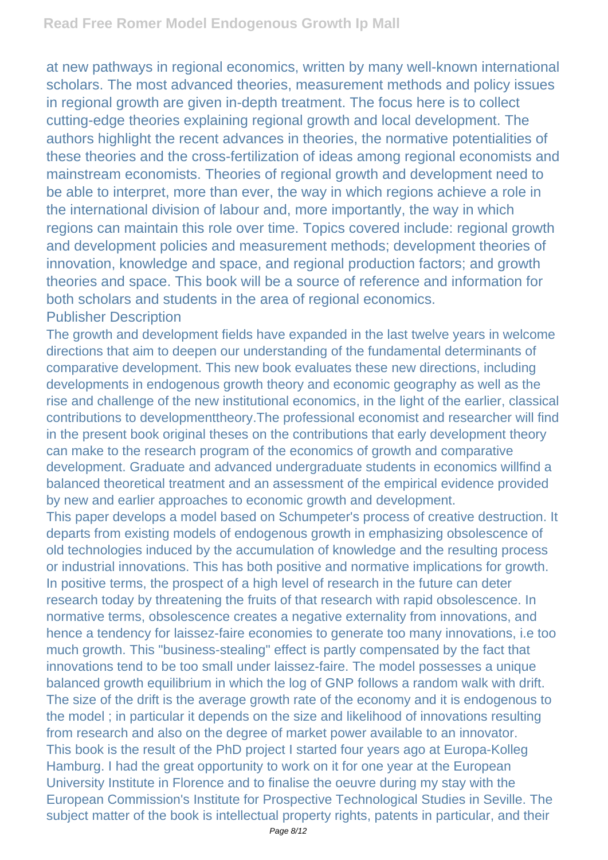at new pathways in regional economics, written by many well-known international scholars. The most advanced theories, measurement methods and policy issues in regional growth are given in-depth treatment. The focus here is to collect cutting-edge theories explaining regional growth and local development. The authors highlight the recent advances in theories, the normative potentialities of these theories and the cross-fertilization of ideas among regional economists and mainstream economists. Theories of regional growth and development need to be able to interpret, more than ever, the way in which regions achieve a role in the international division of labour and, more importantly, the way in which regions can maintain this role over time. Topics covered include: regional growth and development policies and measurement methods; development theories of innovation, knowledge and space, and regional production factors; and growth theories and space. This book will be a source of reference and information for both scholars and students in the area of regional economics. Publisher Description

The growth and development fields have expanded in the last twelve years in welcome directions that aim to deepen our understanding of the fundamental determinants of comparative development. This new book evaluates these new directions, including developments in endogenous growth theory and economic geography as well as the rise and challenge of the new institutional economics, in the light of the earlier, classical contributions to developmenttheory.The professional economist and researcher will find in the present book original theses on the contributions that early development theory can make to the research program of the economics of growth and comparative development. Graduate and advanced undergraduate students in economics willfind a balanced theoretical treatment and an assessment of the empirical evidence provided by new and earlier approaches to economic growth and development.

This paper develops a model based on Schumpeter's process of creative destruction. It departs from existing models of endogenous growth in emphasizing obsolescence of old technologies induced by the accumulation of knowledge and the resulting process or industrial innovations. This has both positive and normative implications for growth. In positive terms, the prospect of a high level of research in the future can deter research today by threatening the fruits of that research with rapid obsolescence. In normative terms, obsolescence creates a negative externality from innovations, and hence a tendency for laissez-faire economies to generate too many innovations, i.e too much growth. This "business-stealing" effect is partly compensated by the fact that innovations tend to be too small under laissez-faire. The model possesses a unique balanced growth equilibrium in which the log of GNP follows a random walk with drift. The size of the drift is the average growth rate of the economy and it is endogenous to the model ; in particular it depends on the size and likelihood of innovations resulting from research and also on the degree of market power available to an innovator. This book is the result of the PhD project I started four years ago at Europa-Kolleg Hamburg. I had the great opportunity to work on it for one year at the European University Institute in Florence and to finalise the oeuvre during my stay with the European Commission's Institute for Prospective Technological Studies in Seville. The subject matter of the book is intellectual property rights, patents in particular, and their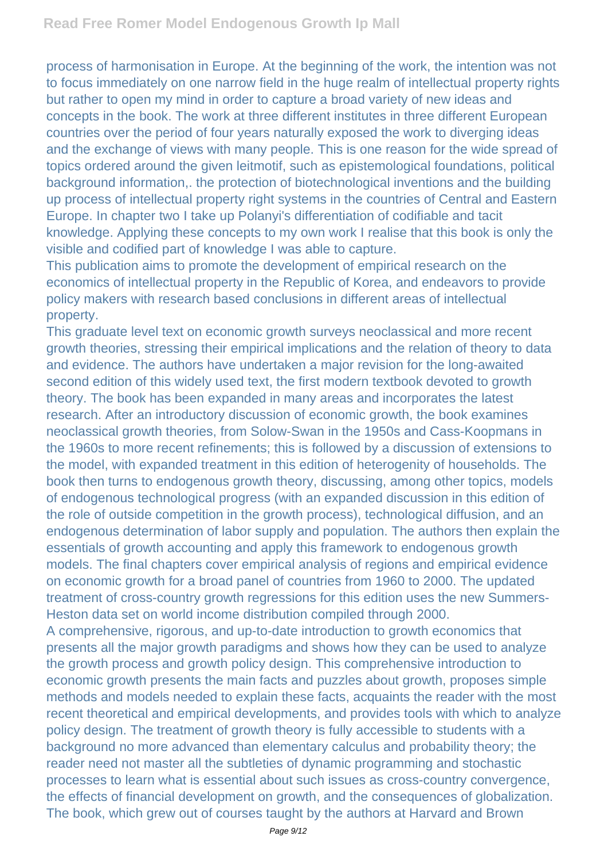process of harmonisation in Europe. At the beginning of the work, the intention was not to focus immediately on one narrow field in the huge realm of intellectual property rights but rather to open my mind in order to capture a broad variety of new ideas and concepts in the book. The work at three different institutes in three different European countries over the period of four years naturally exposed the work to diverging ideas and the exchange of views with many people. This is one reason for the wide spread of topics ordered around the given leitmotif, such as epistemological foundations, political background information,. the protection of biotechnological inventions and the building up process of intellectual property right systems in the countries of Central and Eastern Europe. In chapter two I take up Polanyi's differentiation of codifiable and tacit knowledge. Applying these concepts to my own work I realise that this book is only the visible and codified part of knowledge I was able to capture.

This publication aims to promote the development of empirical research on the economics of intellectual property in the Republic of Korea, and endeavors to provide policy makers with research based conclusions in different areas of intellectual property.

This graduate level text on economic growth surveys neoclassical and more recent growth theories, stressing their empirical implications and the relation of theory to data and evidence. The authors have undertaken a major revision for the long-awaited second edition of this widely used text, the first modern textbook devoted to growth theory. The book has been expanded in many areas and incorporates the latest research. After an introductory discussion of economic growth, the book examines neoclassical growth theories, from Solow-Swan in the 1950s and Cass-Koopmans in the 1960s to more recent refinements; this is followed by a discussion of extensions to the model, with expanded treatment in this edition of heterogenity of households. The book then turns to endogenous growth theory, discussing, among other topics, models of endogenous technological progress (with an expanded discussion in this edition of the role of outside competition in the growth process), technological diffusion, and an endogenous determination of labor supply and population. The authors then explain the essentials of growth accounting and apply this framework to endogenous growth models. The final chapters cover empirical analysis of regions and empirical evidence on economic growth for a broad panel of countries from 1960 to 2000. The updated treatment of cross-country growth regressions for this edition uses the new Summers-Heston data set on world income distribution compiled through 2000.

A comprehensive, rigorous, and up-to-date introduction to growth economics that presents all the major growth paradigms and shows how they can be used to analyze the growth process and growth policy design. This comprehensive introduction to economic growth presents the main facts and puzzles about growth, proposes simple methods and models needed to explain these facts, acquaints the reader with the most recent theoretical and empirical developments, and provides tools with which to analyze policy design. The treatment of growth theory is fully accessible to students with a background no more advanced than elementary calculus and probability theory; the reader need not master all the subtleties of dynamic programming and stochastic processes to learn what is essential about such issues as cross-country convergence, the effects of financial development on growth, and the consequences of globalization. The book, which grew out of courses taught by the authors at Harvard and Brown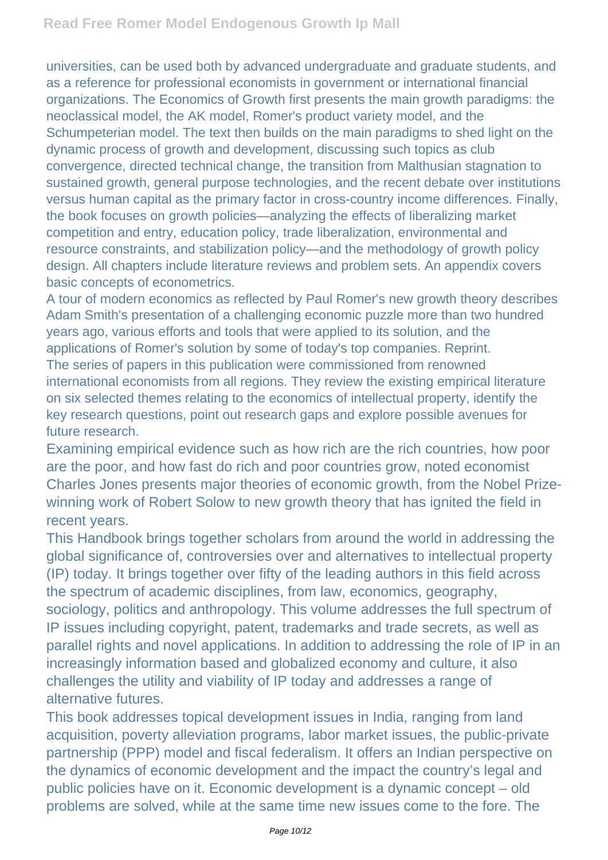universities, can be used both by advanced undergraduate and graduate students, and as a reference for professional economists in government or international financial organizations. The Economics of Growth first presents the main growth paradigms: the neoclassical model, the AK model, Romer's product variety model, and the Schumpeterian model. The text then builds on the main paradigms to shed light on the dynamic process of growth and development, discussing such topics as club convergence, directed technical change, the transition from Malthusian stagnation to sustained growth, general purpose technologies, and the recent debate over institutions versus human capital as the primary factor in cross-country income differences. Finally, the book focuses on growth policies—analyzing the effects of liberalizing market competition and entry, education policy, trade liberalization, environmental and resource constraints, and stabilization policy—and the methodology of growth policy design. All chapters include literature reviews and problem sets. An appendix covers basic concepts of econometrics.

A tour of modern economics as reflected by Paul Romer's new growth theory describes Adam Smith's presentation of a challenging economic puzzle more than two hundred years ago, various efforts and tools that were applied to its solution, and the applications of Romer's solution by some of today's top companies. Reprint. The series of papers in this publication were commissioned from renowned international economists from all regions. They review the existing empirical literature on six selected themes relating to the economics of intellectual property, identify the key research questions, point out research gaps and explore possible avenues for future research.

Examining empirical evidence such as how rich are the rich countries, how poor are the poor, and how fast do rich and poor countries grow, noted economist Charles Jones presents major theories of economic growth, from the Nobel Prizewinning work of Robert Solow to new growth theory that has ignited the field in recent years.

This Handbook brings together scholars from around the world in addressing the global significance of, controversies over and alternatives to intellectual property (IP) today. It brings together over fifty of the leading authors in this field across the spectrum of academic disciplines, from law, economics, geography, sociology, politics and anthropology. This volume addresses the full spectrum of IP issues including copyright, patent, trademarks and trade secrets, as well as parallel rights and novel applications. In addition to addressing the role of IP in an increasingly information based and globalized economy and culture, it also challenges the utility and viability of IP today and addresses a range of alternative futures.

This book addresses topical development issues in India, ranging from land acquisition, poverty alleviation programs, labor market issues, the public-private partnership (PPP) model and fiscal federalism. It offers an Indian perspective on the dynamics of economic development and the impact the country's legal and public policies have on it. Economic development is a dynamic concept – old problems are solved, while at the same time new issues come to the fore. The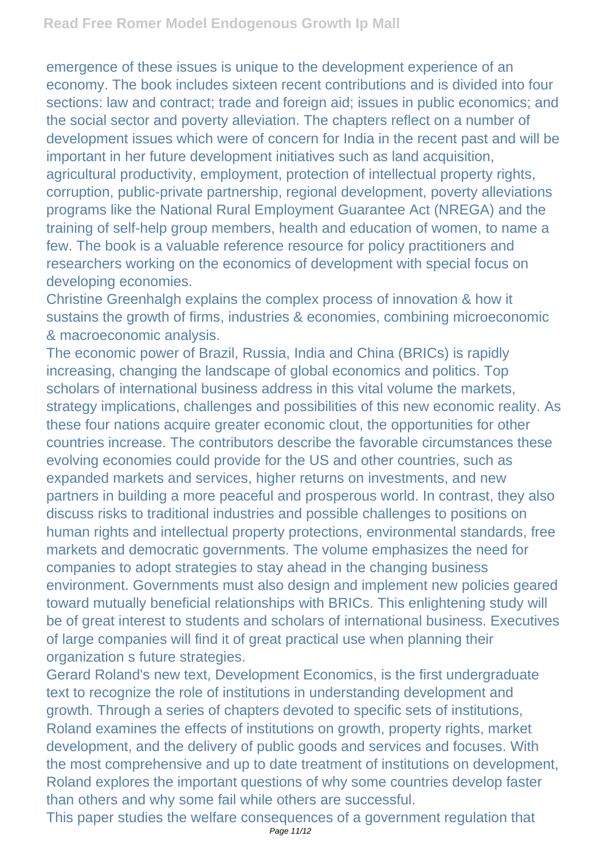emergence of these issues is unique to the development experience of an economy. The book includes sixteen recent contributions and is divided into four sections: law and contract; trade and foreign aid; issues in public economics; and the social sector and poverty alleviation. The chapters reflect on a number of development issues which were of concern for India in the recent past and will be important in her future development initiatives such as land acquisition, agricultural productivity, employment, protection of intellectual property rights, corruption, public-private partnership, regional development, poverty alleviations programs like the National Rural Employment Guarantee Act (NREGA) and the training of self-help group members, health and education of women, to name a few. The book is a valuable reference resource for policy practitioners and researchers working on the economics of development with special focus on developing economies.

Christine Greenhalgh explains the complex process of innovation & how it sustains the growth of firms, industries & economies, combining microeconomic & macroeconomic analysis.

The economic power of Brazil, Russia, India and China (BRICs) is rapidly increasing, changing the landscape of global economics and politics. Top scholars of international business address in this vital volume the markets, strategy implications, challenges and possibilities of this new economic reality. As these four nations acquire greater economic clout, the opportunities for other countries increase. The contributors describe the favorable circumstances these evolving economies could provide for the US and other countries, such as expanded markets and services, higher returns on investments, and new partners in building a more peaceful and prosperous world. In contrast, they also discuss risks to traditional industries and possible challenges to positions on human rights and intellectual property protections, environmental standards, free markets and democratic governments. The volume emphasizes the need for companies to adopt strategies to stay ahead in the changing business environment. Governments must also design and implement new policies geared toward mutually beneficial relationships with BRICs. This enlightening study will be of great interest to students and scholars of international business. Executives of large companies will find it of great practical use when planning their organization s future strategies.

Gerard Roland's new text, Development Economics, is the first undergraduate text to recognize the role of institutions in understanding development and growth. Through a series of chapters devoted to specific sets of institutions, Roland examines the effects of institutions on growth, property rights, market development, and the delivery of public goods and services and focuses. With the most comprehensive and up to date treatment of institutions on development, Roland explores the important questions of why some countries develop faster than others and why some fail while others are successful.

This paper studies the welfare consequences of a government regulation that Page 11/12